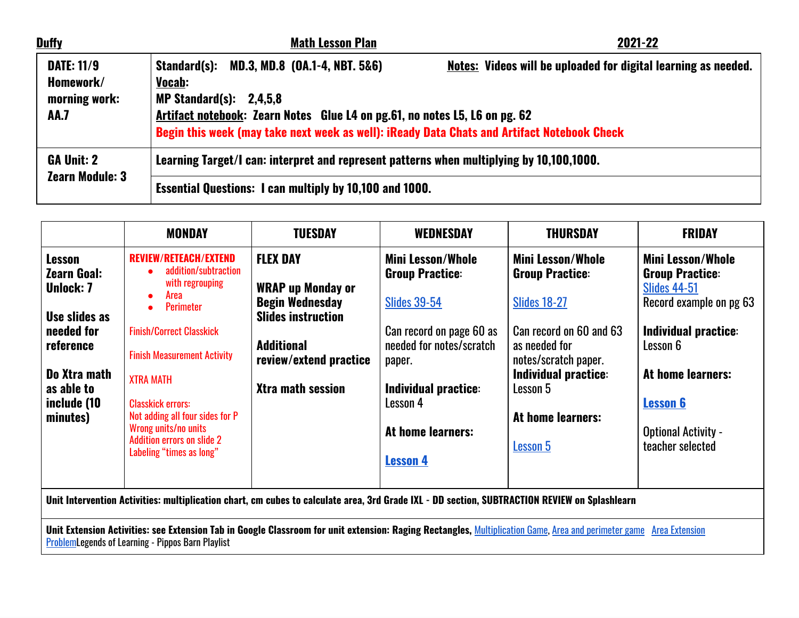| <b>Duffy</b>                                                   | <b>Math Lesson Plan</b>                                                                                                                                                                                                                                                 | 2021-22                                                               |  |
|----------------------------------------------------------------|-------------------------------------------------------------------------------------------------------------------------------------------------------------------------------------------------------------------------------------------------------------------------|-----------------------------------------------------------------------|--|
| <b>DATE: 11/9</b><br>Homework/<br>morning work:<br><b>AA.7</b> | Standard(s): MD.3, MD.8 (0A.1-4, NBT. 5&6)<br><b>Vocab:</b><br>MP Standard $(s)$ : 2,4,5,8<br>Artifact notebook: Zearn Notes Glue L4 on pg.61, no notes L5, L6 on pg. 62<br>Begin this week (may take next week as well): iReady Data Chats and Artifact Notebook Check | <b>Notes:</b> Videos will be uploaded for digital learning as needed. |  |
| <b>GA Unit: 2</b><br><b>Zearn Module: 3</b>                    | Learning Target/I can: interpret and represent patterns when multiplying by 10,100,1000.                                                                                                                                                                                |                                                                       |  |
|                                                                | <b>Essential Questions: I can multiply by 10,100 and 1000.</b>                                                                                                                                                                                                          |                                                                       |  |

|                                                                                                                                                              | <b>MONDAY</b>                                                                                                                                                                                                                                                                                                                                                                      | <b>TUESDAY</b>                                                                                                                                                         | <b>WEDNESDAY</b>                                                                                                                                                                                                               | <b>THURSDAY</b>                                                                                                                                                                                                           | <b>FRIDAY</b>                                                                                                                                                                                                                      |
|--------------------------------------------------------------------------------------------------------------------------------------------------------------|------------------------------------------------------------------------------------------------------------------------------------------------------------------------------------------------------------------------------------------------------------------------------------------------------------------------------------------------------------------------------------|------------------------------------------------------------------------------------------------------------------------------------------------------------------------|--------------------------------------------------------------------------------------------------------------------------------------------------------------------------------------------------------------------------------|---------------------------------------------------------------------------------------------------------------------------------------------------------------------------------------------------------------------------|------------------------------------------------------------------------------------------------------------------------------------------------------------------------------------------------------------------------------------|
| <b>Lesson</b><br><b>Zearn Goal:</b><br><b>Unlock: 7</b><br>Use slides as<br>needed for<br>reference<br>Do Xtra math<br>as able to<br>include (10<br>minutes) | <b>REVIEW/RETEACH/EXTEND</b><br>addition/subtraction<br>with regrouping<br>Area<br>$\bullet$<br><b>Perimeter</b><br>$\bullet$<br><b>Finish/Correct Classkick</b><br><b>Finish Measurement Activity</b><br><b>XTRA MATH</b><br><b>Classkick errors:</b><br>Not adding all four sides for P<br>Wrong units/no units<br><b>Addition errors on slide 2</b><br>Labeling "times as long" | <b>FLEX DAY</b><br><b>WRAP up Monday or</b><br><b>Begin Wednesday</b><br><b>Slides instruction</b><br><b>Additional</b><br>review/extend practice<br>Xtra math session | <b>Mini Lesson/Whole</b><br><b>Group Practice:</b><br><b>Slides 39-54</b><br>Can record on page 60 as<br>needed for notes/scratch<br>paper.<br><b>Individual practice:</b><br>Lesson 4<br>At home learners:<br><b>Lesson 4</b> | <b>Mini Lesson/Whole</b><br><b>Group Practice:</b><br><b>Slides 18-27</b><br>Can record on 60 and 63<br>as needed for<br>notes/scratch paper.<br><b>Individual practice:</b><br>Lesson 5<br>At home learners:<br>Lesson 5 | <b>Mini Lesson/Whole</b><br><b>Group Practice:</b><br><b>Slides 44-51</b><br>Record example on pg 63<br>Individual practice:<br>Lesson 6<br>At home learners:<br><b>Lesson 6</b><br><b>Optional Activity -</b><br>teacher selected |
| Unit Intervention Activities: multiplication chart, cm cubes to calculate area, 3rd Grade IXL - DD section, SUBTRACTION REVIEW on Splashlearn                |                                                                                                                                                                                                                                                                                                                                                                                    |                                                                                                                                                                        |                                                                                                                                                                                                                                |                                                                                                                                                                                                                           |                                                                                                                                                                                                                                    |

Unit Extension Activities: see Extension Tab in Google Classroom for unit extension: Raging Rectangles, <u>Multiplication Game, Area and perimeter game | Area Extension</u> <u>Problem</u>Legends of Learning - Pippos Barn Playlist